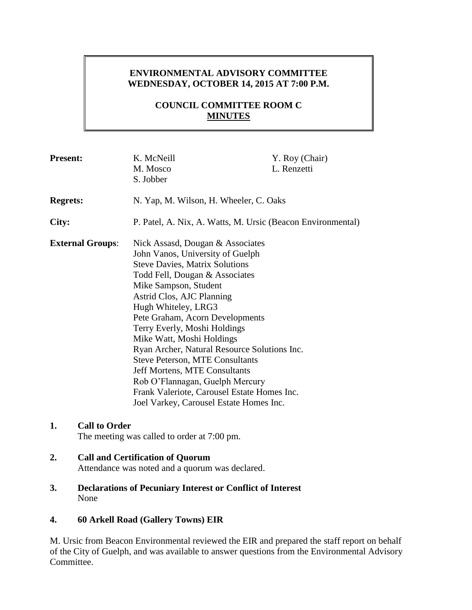# **ENVIRONMENTAL ADVISORY COMMITTEE WEDNESDAY, OCTOBER 14, 2015 AT 7:00 P.M.**

# **COUNCIL COMMITTEE ROOM C MINUTES**

| <b>Present:</b>         | K. McNeill<br>M. Mosco<br>S. Jobber                                                                                                                                                                                                                                                                                                                                                                                                                                                                                                                                                         | Y. Roy (Chair)<br>L. Renzetti |
|-------------------------|---------------------------------------------------------------------------------------------------------------------------------------------------------------------------------------------------------------------------------------------------------------------------------------------------------------------------------------------------------------------------------------------------------------------------------------------------------------------------------------------------------------------------------------------------------------------------------------------|-------------------------------|
| <b>Regrets:</b>         | N. Yap, M. Wilson, H. Wheeler, C. Oaks                                                                                                                                                                                                                                                                                                                                                                                                                                                                                                                                                      |                               |
| City:                   | P. Patel, A. Nix, A. Watts, M. Ursic (Beacon Environmental)                                                                                                                                                                                                                                                                                                                                                                                                                                                                                                                                 |                               |
| <b>External Groups:</b> | Nick Assasd, Dougan & Associates<br>John Vanos, University of Guelph<br><b>Steve Davies, Matrix Solutions</b><br>Todd Fell, Dougan & Associates<br>Mike Sampson, Student<br>Astrid Clos, AJC Planning<br>Hugh Whiteley, LRG3<br>Pete Graham, Acorn Developments<br>Terry Everly, Moshi Holdings<br>Mike Watt, Moshi Holdings<br>Ryan Archer, Natural Resource Solutions Inc.<br><b>Steve Peterson, MTE Consultants</b><br><b>Jeff Mortens, MTE Consultants</b><br>Rob O'Flannagan, Guelph Mercury<br>Frank Valeriote, Carousel Estate Homes Inc.<br>Joel Varkey, Carousel Estate Homes Inc. |                               |

## **1. Call to Order**

The meeting was called to order at 7:00 pm.

# **2. Call and Certification of Quorum**

Attendance was noted and a quorum was declared.

**3. Declarations of Pecuniary Interest or Conflict of Interest** None

## **4. 60 Arkell Road (Gallery Towns) EIR**

M. Ursic from Beacon Environmental reviewed the EIR and prepared the staff report on behalf of the City of Guelph, and was available to answer questions from the Environmental Advisory Committee.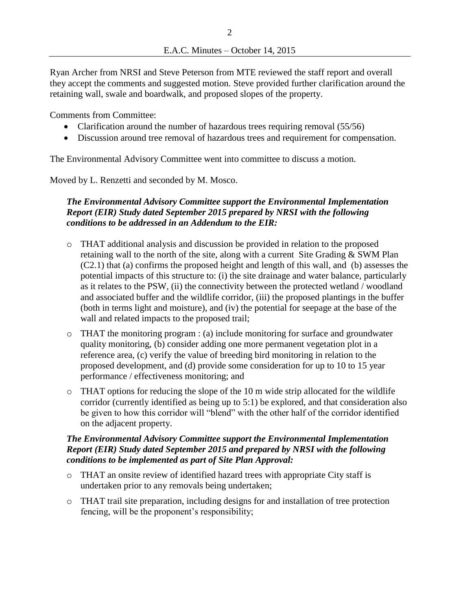Ryan Archer from NRSI and Steve Peterson from MTE reviewed the staff report and overall they accept the comments and suggested motion. Steve provided further clarification around the retaining wall, swale and boardwalk, and proposed slopes of the property.

Comments from Committee:

- Clarification around the number of hazardous trees requiring removal (55/56)
- Discussion around tree removal of hazardous trees and requirement for compensation.

The Environmental Advisory Committee went into committee to discuss a motion.

Moved by L. Renzetti and seconded by M. Mosco.

## *The Environmental Advisory Committee support the Environmental Implementation Report (EIR) Study dated September 2015 prepared by NRSI with the following conditions to be addressed in an Addendum to the EIR:*

- o THAT additional analysis and discussion be provided in relation to the proposed retaining wall to the north of the site, along with a current Site Grading & SWM Plan (C2.1) that (a) confirms the proposed height and length of this wall, and (b) assesses the potential impacts of this structure to: (i) the site drainage and water balance, particularly as it relates to the PSW, (ii) the connectivity between the protected wetland / woodland and associated buffer and the wildlife corridor, (iii) the proposed plantings in the buffer (both in terms light and moisture), and (iv) the potential for seepage at the base of the wall and related impacts to the proposed trail;
- o THAT the monitoring program : (a) include monitoring for surface and groundwater quality monitoring, (b) consider adding one more permanent vegetation plot in a reference area, (c) verify the value of breeding bird monitoring in relation to the proposed development, and (d) provide some consideration for up to 10 to 15 year performance / effectiveness monitoring; and
- $\circ$  THAT options for reducing the slope of the 10 m wide strip allocated for the wildlife corridor (currently identified as being up to 5:1) be explored, and that consideration also be given to how this corridor will "blend" with the other half of the corridor identified on the adjacent property.

## *The Environmental Advisory Committee support the Environmental Implementation Report (EIR) Study dated September 2015 and prepared by NRSI with the following conditions to be implemented as part of Site Plan Approval:*

- o THAT an onsite review of identified hazard trees with appropriate City staff is undertaken prior to any removals being undertaken;
- o THAT trail site preparation, including designs for and installation of tree protection fencing, will be the proponent's responsibility;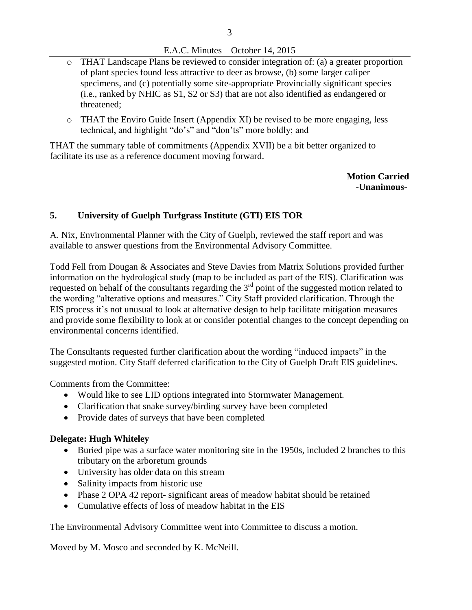### E.A.C. Minutes – October 14, 2015

- o THAT Landscape Plans be reviewed to consider integration of: (a) a greater proportion of plant species found less attractive to deer as browse, (b) some larger caliper specimens, and (c) potentially some site-appropriate Provincially significant species (i.e., ranked by NHIC as S1, S2 or S3) that are not also identified as endangered or threatened;
- $\circ$  THAT the Enviro Guide Insert (Appendix XI) be revised to be more engaging, less technical, and highlight "do's" and "don'ts" more boldly; and

THAT the summary table of commitments (Appendix XVII) be a bit better organized to facilitate its use as a reference document moving forward.

> **Motion Carried -Unanimous-**

## **5. University of Guelph Turfgrass Institute (GTI) EIS TOR**

A. Nix, Environmental Planner with the City of Guelph, reviewed the staff report and was available to answer questions from the Environmental Advisory Committee.

Todd Fell from Dougan & Associates and Steve Davies from Matrix Solutions provided further information on the hydrological study (map to be included as part of the EIS). Clarification was requested on behalf of the consultants regarding the 3<sup>rd</sup> point of the suggested motion related to the wording "alterative options and measures." City Staff provided clarification. Through the EIS process it's not unusual to look at alternative design to help facilitate mitigation measures and provide some flexibility to look at or consider potential changes to the concept depending on environmental concerns identified.

The Consultants requested further clarification about the wording "induced impacts" in the suggested motion. City Staff deferred clarification to the City of Guelph Draft EIS guidelines.

Comments from the Committee:

- Would like to see LID options integrated into Stormwater Management.
- Clarification that snake survey/birding survey have been completed
- Provide dates of surveys that have been completed

### **Delegate: Hugh Whiteley**

- Buried pipe was a surface water monitoring site in the 1950s, included 2 branches to this tributary on the arboretum grounds
- University has older data on this stream
- Salinity impacts from historic use
- Phase 2 OPA 42 report- significant areas of meadow habitat should be retained
- Cumulative effects of loss of meadow habitat in the EIS

The Environmental Advisory Committee went into Committee to discuss a motion.

Moved by M. Mosco and seconded by K. McNeill.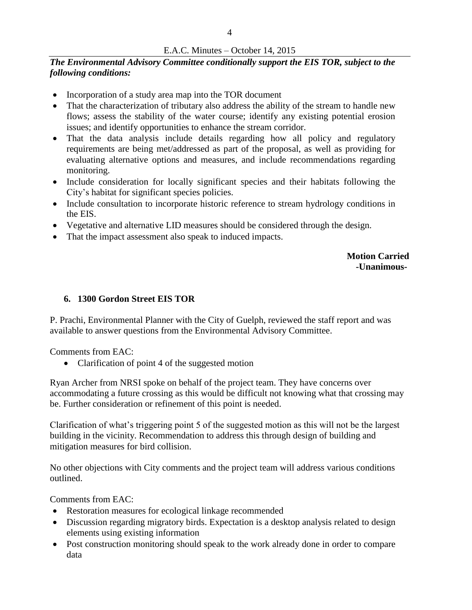#### E.A.C. Minutes – October 14, 2015

### *The Environmental Advisory Committee conditionally support the EIS TOR, subject to the following conditions:*

- Incorporation of a study area map into the TOR document
- That the characterization of tributary also address the ability of the stream to handle new flows; assess the stability of the water course; identify any existing potential erosion issues; and identify opportunities to enhance the stream corridor.
- That the data analysis include details regarding how all policy and regulatory requirements are being met/addressed as part of the proposal, as well as providing for evaluating alternative options and measures, and include recommendations regarding monitoring.
- Include consideration for locally significant species and their habitats following the City's habitat for significant species policies.
- Include consultation to incorporate historic reference to stream hydrology conditions in the EIS.
- Vegetative and alternative LID measures should be considered through the design.
- That the impact assessment also speak to induced impacts.

 **Motion Carried -Unanimous-**

### **6. 1300 Gordon Street EIS TOR**

P. Prachi, Environmental Planner with the City of Guelph, reviewed the staff report and was available to answer questions from the Environmental Advisory Committee.

Comments from EAC:

• Clarification of point 4 of the suggested motion

Ryan Archer from NRSI spoke on behalf of the project team. They have concerns over accommodating a future crossing as this would be difficult not knowing what that crossing may be. Further consideration or refinement of this point is needed.

Clarification of what's triggering point 5 of the suggested motion as this will not be the largest building in the vicinity. Recommendation to address this through design of building and mitigation measures for bird collision.

No other objections with City comments and the project team will address various conditions outlined.

Comments from EAC:

- Restoration measures for ecological linkage recommended
- Discussion regarding migratory birds. Expectation is a desktop analysis related to design elements using existing information
- Post construction monitoring should speak to the work already done in order to compare data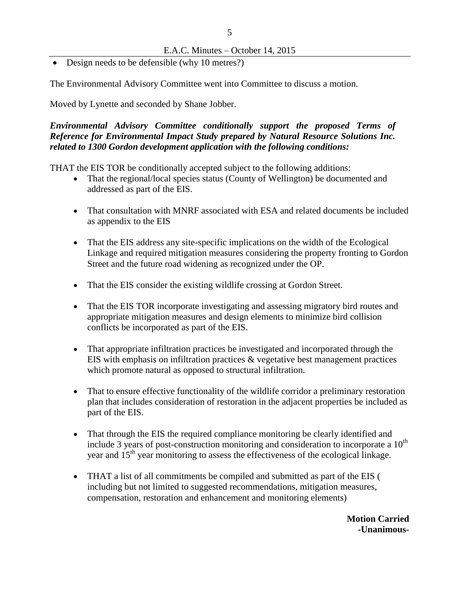• Design needs to be defensible (why 10 metres?)

The Environmental Advisory Committee went into Committee to discuss a motion.

Moved by Lynette and seconded by Shane Jobber.

*Environmental Advisory Committee conditionally support the proposed Terms of Reference for Environmental Impact Study prepared by Natural Resource Solutions Inc. related to 1300 Gordon development application with the following conditions:*

THAT the EIS TOR be conditionally accepted subject to the following additions:

- That the regional/local species status (County of Wellington) be documented and addressed as part of the EIS.
- That consultation with MNRF associated with ESA and related documents be included as appendix to the EIS
- That the EIS address any site-specific implications on the width of the Ecological Linkage and required mitigation measures considering the property fronting to Gordon Street and the future road widening as recognized under the OP.
- That the EIS consider the existing wildlife crossing at Gordon Street.
- That the EIS TOR incorporate investigating and assessing migratory bird routes and appropriate mitigation measures and design elements to minimize bird collision conflicts be incorporated as part of the EIS.
- That appropriate infiltration practices be investigated and incorporated through the EIS with emphasis on infiltration practices & vegetative best management practices which promote natural as opposed to structural infiltration.
- That to ensure effective functionality of the wildlife corridor a preliminary restoration plan that includes consideration of restoration in the adjacent properties be included as part of the EIS.
- That through the EIS the required compliance monitoring be clearly identified and include 3 years of post-construction monitoring and consideration to incorporate a  $10<sup>th</sup>$ year and  $15<sup>th</sup>$  year monitoring to assess the effectiveness of the ecological linkage.
- THAT a list of all commitments be compiled and submitted as part of the EIS ( including but not limited to suggested recommendations, mitigation measures, compensation, restoration and enhancement and monitoring elements)

**Motion Carried -Unanimous-**